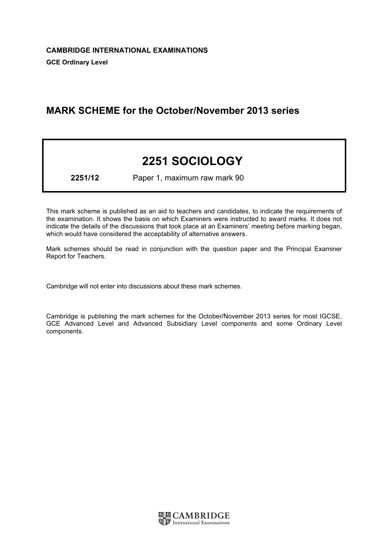# MARK SCHEME for the October/November 2013 series

# 2251 SOCIOLOGY

2251/12 Paper 1, maximum raw mark 90

This mark scheme is published as an aid to teachers and candidates, to indicate the requirements of the examination. It shows the basis on which Examiners were instructed to award marks. It does not indicate the details of the discussions that took place at an Examiners' meeting before marking began, which would have considered the acceptability of alternative answers.

Mark schemes should be read in conjunction with the question paper and the Principal Examiner Report for Teachers.

Cambridge will not enter into discussions about these mark schemes.

Cambridge is publishing the mark schemes for the October/November 2013 series for most IGCSE, GCE Advanced Level and Advanced Subsidiary Level components and some Ordinary Level components.

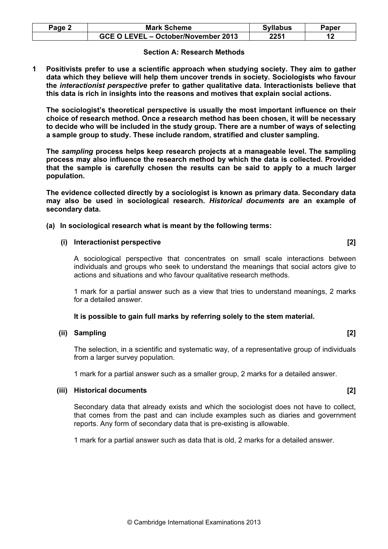| <b>Mark Scheme</b>                  | <b>Syllabus</b> | Paper |
|-------------------------------------|-----------------|-------|
| GCE O LEVEL - October/November 2013 | 2251            |       |

#### Section A: Research Methods

1 Positivists prefer to use a scientific approach when studying society. They aim to gather data which they believe will help them uncover trends in society. Sociologists who favour the interactionist perspective prefer to gather qualitative data. Interactionists believe that this data is rich in insights into the reasons and motives that explain social actions.

The sociologist's theoretical perspective is usually the most important influence on their choice of research method. Once a research method has been chosen, it will be necessary to decide who will be included in the study group. There are a number of ways of selecting a sample group to study. These include random, stratified and cluster sampling.

The sampling process helps keep research projects at a manageable level. The sampling process may also influence the research method by which the data is collected. Provided that the sample is carefully chosen the results can be said to apply to a much larger population.

The evidence collected directly by a sociologist is known as primary data. Secondary data may also be used in sociological research. Historical documents are an example of secondary data.

(a) In sociological research what is meant by the following terms:

### (i) Interactionist perspective in the control of the control of the control of the control of the control of the control of the control of the control of the control of the control of the control of the control of the cont

A sociological perspective that concentrates on small scale interactions between individuals and groups who seek to understand the meanings that social actors give to actions and situations and who favour qualitative research methods.

1 mark for a partial answer such as a view that tries to understand meanings, 2 marks for a detailed answer.

# It is possible to gain full marks by referring solely to the stem material.

#### (ii) Sampling [2]

The selection, in a scientific and systematic way, of a representative group of individuals from a larger survey population.

1 mark for a partial answer such as a smaller group, 2 marks for a detailed answer.

#### (iii) Historical documents [2]

Secondary data that already exists and which the sociologist does not have to collect, that comes from the past and can include examples such as diaries and government reports. Any form of secondary data that is pre-existing is allowable.

1 mark for a partial answer such as data that is old, 2 marks for a detailed answer.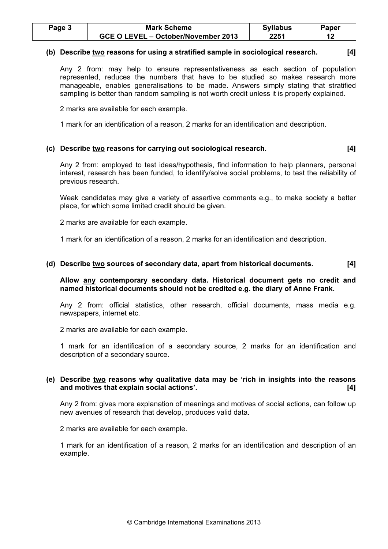| $Page$ $\sim$ | <b>Mark Scheme</b>                  | <b>Syllabus</b> | Paper |
|---------------|-------------------------------------|-----------------|-------|
|               | GCE O LEVEL - October/November 2013 | 2251            |       |

# (b) Describe two reasons for using a stratified sample in sociological research. [4]

Any 2 from: may help to ensure representativeness as each section of population represented, reduces the numbers that have to be studied so makes research more manageable, enables generalisations to be made. Answers simply stating that stratified sampling is better than random sampling is not worth credit unless it is properly explained.

2 marks are available for each example.

1 mark for an identification of a reason, 2 marks for an identification and description.

# (c) Describe two reasons for carrying out sociological research. [4]

Any 2 from: employed to test ideas/hypothesis, find information to help planners, personal interest, research has been funded, to identify/solve social problems, to test the reliability of previous research.

Weak candidates may give a variety of assertive comments e.g., to make society a better place, for which some limited credit should be given.

2 marks are available for each example.

1 mark for an identification of a reason, 2 marks for an identification and description.

### (d) Describe two sources of secondary data, apart from historical documents. [4]

Allow any contemporary secondary data. Historical document gets no credit and named historical documents should not be credited e.g. the diary of Anne Frank.

Any 2 from: official statistics, other research, official documents, mass media e.g. newspapers, internet etc.

2 marks are available for each example.

1 mark for an identification of a secondary source, 2 marks for an identification and description of a secondary source.

### (e) Describe two reasons why qualitative data may be 'rich in insights into the reasons and motives that explain social actions'. [4]

Any 2 from: gives more explanation of meanings and motives of social actions, can follow up new avenues of research that develop, produces valid data.

2 marks are available for each example.

1 mark for an identification of a reason, 2 marks for an identification and description of an example.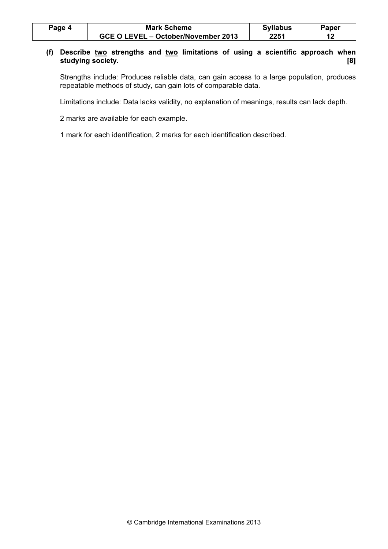| Page 4 | <b>Mark Scheme</b>                  |      | Paper |
|--------|-------------------------------------|------|-------|
|        | GCE O LEVEL – October/November 2013 | 2251 |       |

# (f) Describe two strengths and two limitations of using a scientific approach when studying society. [8]

Strengths include: Produces reliable data, can gain access to a large population, produces repeatable methods of study, can gain lots of comparable data.

Limitations include: Data lacks validity, no explanation of meanings, results can lack depth.

2 marks are available for each example.

1 mark for each identification, 2 marks for each identification described.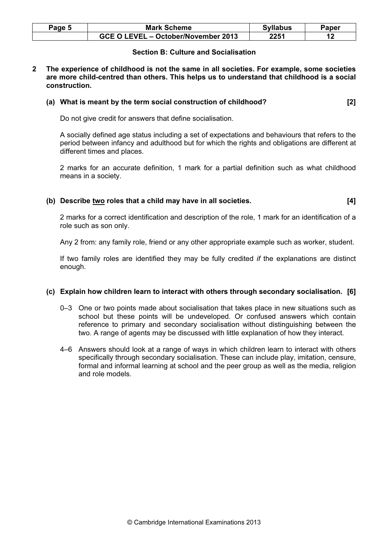| Page 5 | <b>Mark Scheme</b>                  | <b>Syllabus</b> | Paper |
|--------|-------------------------------------|-----------------|-------|
|        | GCE O LEVEL - October/November 2013 | 2251            |       |

# Section B: Culture and Socialisation

2 The experience of childhood is not the same in all societies. For example, some societies are more child-centred than others. This helps us to understand that childhood is a social construction.

#### (a) What is meant by the term social construction of childhood? [2]

Do not give credit for answers that define socialisation.

A socially defined age status including a set of expectations and behaviours that refers to the period between infancy and adulthood but for which the rights and obligations are different at different times and places.

2 marks for an accurate definition, 1 mark for a partial definition such as what childhood means in a society.

#### (b) Describe two roles that a child may have in all societies. [4]

2 marks for a correct identification and description of the role, 1 mark for an identification of a role such as son only.

Any 2 from: any family role, friend or any other appropriate example such as worker, student.

If two family roles are identified they may be fully credited if the explanations are distinct enough.

# (c) Explain how children learn to interact with others through secondary socialisation. [6]

- 0–3 One or two points made about socialisation that takes place in new situations such as school but these points will be undeveloped. Or confused answers which contain reference to primary and secondary socialisation without distinguishing between the two. A range of agents may be discussed with little explanation of how they interact.
- 4–6 Answers should look at a range of ways in which children learn to interact with others specifically through secondary socialisation. These can include play, imitation, censure, formal and informal learning at school and the peer group as well as the media, religion and role models.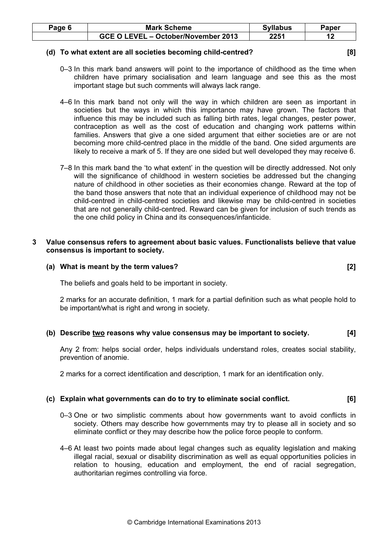| Page 6 | <b>Mark Scheme</b>                  | <b>Syllabus</b> | Paper |
|--------|-------------------------------------|-----------------|-------|
|        | GCE O LEVEL - October/November 2013 | 2251            |       |

#### (d) To what extent are all societies becoming child-centred? [8]

- 0–3 In this mark band answers will point to the importance of childhood as the time when children have primary socialisation and learn language and see this as the most important stage but such comments will always lack range.
- 4–6 In this mark band not only will the way in which children are seen as important in societies but the ways in which this importance may have grown. The factors that influence this may be included such as falling birth rates, legal changes, pester power, contraception as well as the cost of education and changing work patterns within families. Answers that give a one sided argument that either societies are or are not becoming more child-centred place in the middle of the band. One sided arguments are likely to receive a mark of 5. If they are one sided but well developed they may receive 6.
- 7–8 In this mark band the 'to what extent' in the question will be directly addressed. Not only will the significance of childhood in western societies be addressed but the changing nature of childhood in other societies as their economies change. Reward at the top of the band those answers that note that an individual experience of childhood may not be child-centred in child-centred societies and likewise may be child-centred in societies that are not generally child-centred. Reward can be given for inclusion of such trends as the one child policy in China and its consequences/infanticide.

### 3 Value consensus refers to agreement about basic values. Functionalists believe that value consensus is important to society.

### (a) What is meant by the term values? [2]

The beliefs and goals held to be important in society.

2 marks for an accurate definition, 1 mark for a partial definition such as what people hold to be important/what is right and wrong in society.

# (b) Describe two reasons why value consensus may be important to society. [4]

Any 2 from: helps social order, helps individuals understand roles, creates social stability, prevention of anomie.

2 marks for a correct identification and description, 1 mark for an identification only.

# (c) Explain what governments can do to try to eliminate social conflict. [6]

- 0–3 One or two simplistic comments about how governments want to avoid conflicts in society. Others may describe how governments may try to please all in society and so eliminate conflict or they may describe how the police force people to conform.
- 4–6 At least two points made about legal changes such as equality legislation and making illegal racial, sexual or disability discrimination as well as equal opportunities policies in relation to housing, education and employment, the end of racial segregation, authoritarian regimes controlling via force.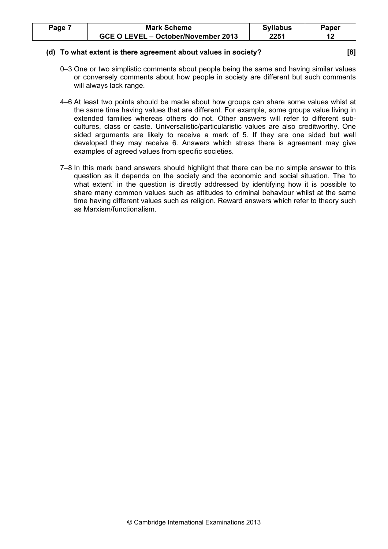| Page | <b>Mark Scheme</b>                  | <b>Syllabus</b> | oaper |
|------|-------------------------------------|-----------------|-------|
|      | GCE O LEVEL - October/November 2013 | 2251            |       |

#### (d) To what extent is there agreement about values in society? [8]

- 0–3 One or two simplistic comments about people being the same and having similar values or conversely comments about how people in society are different but such comments will always lack range.
- 4–6 At least two points should be made about how groups can share some values whist at the same time having values that are different. For example, some groups value living in extended families whereas others do not. Other answers will refer to different subcultures, class or caste. Universalistic/particularistic values are also creditworthy. One sided arguments are likely to receive a mark of 5. If they are one sided but well developed they may receive 6. Answers which stress there is agreement may give examples of agreed values from specific societies.
- 7–8 In this mark band answers should highlight that there can be no simple answer to this question as it depends on the society and the economic and social situation. The 'to what extent' in the question is directly addressed by identifying how it is possible to share many common values such as attitudes to criminal behaviour whilst at the same time having different values such as religion. Reward answers which refer to theory such as Marxism/functionalism.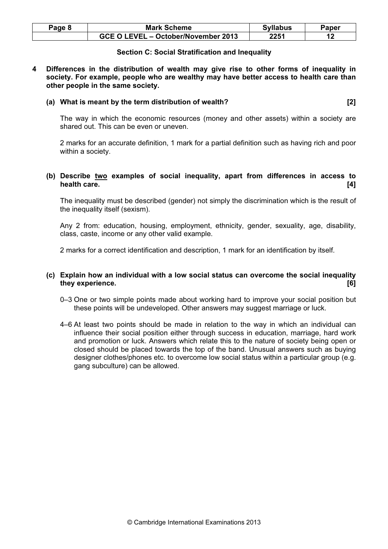| Page 8 | <b>Mark Scheme</b>                  | <b>Syllabus</b> | ີາaper |
|--------|-------------------------------------|-----------------|--------|
|        | GCE O LEVEL - October/November 2013 | 2251            |        |

#### Section C: Social Stratification and Inequality

4 Differences in the distribution of wealth may give rise to other forms of inequality in society. For example, people who are wealthy may have better access to health care than other people in the same society.

#### (a) What is meant by the term distribution of wealth? [2]

The way in which the economic resources (money and other assets) within a society are shared out. This can be even or uneven.

2 marks for an accurate definition, 1 mark for a partial definition such as having rich and poor within a society.

### (b) Describe two examples of social inequality, apart from differences in access to health care. [4]

The inequality must be described (gender) not simply the discrimination which is the result of the inequality itself (sexism).

Any 2 from: education, housing, employment, ethnicity, gender, sexuality, age, disability, class, caste, income or any other valid example.

2 marks for a correct identification and description, 1 mark for an identification by itself.

# (c) Explain how an individual with a low social status can overcome the social inequality they experience. [6] **Example 20** is they experience.

- 0–3 One or two simple points made about working hard to improve your social position but these points will be undeveloped. Other answers may suggest marriage or luck.
- 4–6 At least two points should be made in relation to the way in which an individual can influence their social position either through success in education, marriage, hard work and promotion or luck. Answers which relate this to the nature of society being open or closed should be placed towards the top of the band. Unusual answers such as buying designer clothes/phones etc. to overcome low social status within a particular group (e.g. gang subculture) can be allowed.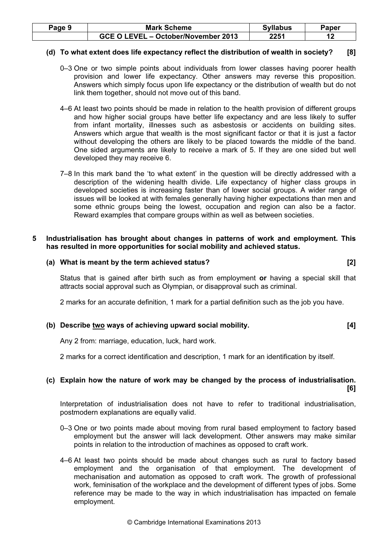| Page 9 | <b>Mark Scheme</b>                  | <b>Syllabus</b> | Paper |
|--------|-------------------------------------|-----------------|-------|
|        | GCE O LEVEL - October/November 2013 | 2251            |       |

#### (d) To what extent does life expectancy reflect the distribution of wealth in society? [8]

- 0–3 One or two simple points about individuals from lower classes having poorer health provision and lower life expectancy. Other answers may reverse this proposition. Answers which simply focus upon life expectancy or the distribution of wealth but do not link them together, should not move out of this band.
- 4–6 At least two points should be made in relation to the health provision of different groups and how higher social groups have better life expectancy and are less likely to suffer from infant mortality, illnesses such as asbestosis or accidents on building sites. Answers which argue that wealth is the most significant factor or that it is just a factor without developing the others are likely to be placed towards the middle of the band. One sided arguments are likely to receive a mark of 5. If they are one sided but well developed they may receive 6.
- 7–8 In this mark band the 'to what extent' in the question will be directly addressed with a description of the widening health divide. Life expectancy of higher class groups in developed societies is increasing faster than of lower social groups. A wider range of issues will be looked at with females generally having higher expectations than men and some ethnic groups being the lowest, occupation and region can also be a factor. Reward examples that compare groups within as well as between societies.

#### 5 Industrialisation has brought about changes in patterns of work and employment. This has resulted in more opportunities for social mobility and achieved status.

# (a) What is meant by the term achieved status? [2]

Status that is gained after birth such as from employment or having a special skill that attracts social approval such as Olympian, or disapproval such as criminal.

2 marks for an accurate definition, 1 mark for a partial definition such as the job you have.

#### (b) Describe two ways of achieving upward social mobility. [4]

Any 2 from: marriage, education, luck, hard work.

2 marks for a correct identification and description, 1 mark for an identification by itself.

# (c) Explain how the nature of work may be changed by the process of industrialisation. [6]

Interpretation of industrialisation does not have to refer to traditional industrialisation, postmodern explanations are equally valid.

- 0–3 One or two points made about moving from rural based employment to factory based employment but the answer will lack development. Other answers may make similar points in relation to the introduction of machines as opposed to craft work.
- 4–6 At least two points should be made about changes such as rural to factory based employment and the organisation of that employment. The development of mechanisation and automation as opposed to craft work. The growth of professional work, feminisation of the workplace and the development of different types of jobs. Some reference may be made to the way in which industrialisation has impacted on female employment.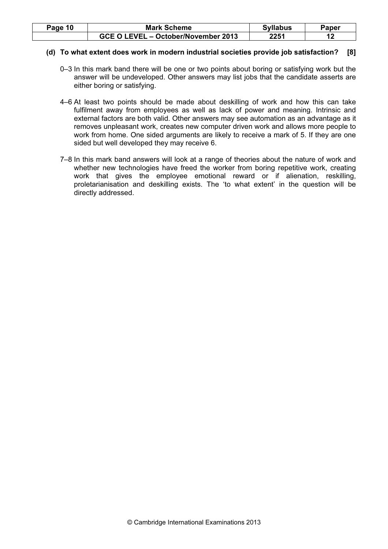| Page 10 | <b>Mark Scheme</b>                  | <b>Syllabus</b> | Paper |
|---------|-------------------------------------|-----------------|-------|
|         | GCE O LEVEL - October/November 2013 | 2251            |       |

### (d) To what extent does work in modern industrial societies provide job satisfaction? [8]

- 0–3 In this mark band there will be one or two points about boring or satisfying work but the answer will be undeveloped. Other answers may list jobs that the candidate asserts are either boring or satisfying.
- 4–6 At least two points should be made about deskilling of work and how this can take fulfilment away from employees as well as lack of power and meaning. Intrinsic and external factors are both valid. Other answers may see automation as an advantage as it removes unpleasant work, creates new computer driven work and allows more people to work from home. One sided arguments are likely to receive a mark of 5. If they are one sided but well developed they may receive 6.
- 7–8 In this mark band answers will look at a range of theories about the nature of work and whether new technologies have freed the worker from boring repetitive work, creating work that gives the employee emotional reward or if alienation, reskilling, proletarianisation and deskilling exists. The 'to what extent' in the question will be directly addressed.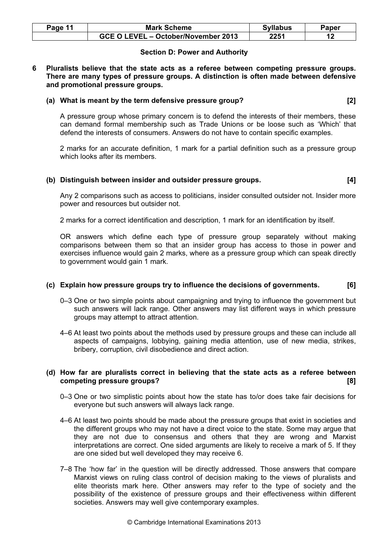| Page 11 | <b>Mark Scheme</b>                  | <b>Syllabus</b> | Paper |
|---------|-------------------------------------|-----------------|-------|
|         | GCE O LEVEL - October/November 2013 | 2251            |       |

### Section D: Power and Authority

6 Pluralists believe that the state acts as a referee between competing pressure groups. There are many types of pressure groups. A distinction is often made between defensive and promotional pressure groups.

#### (a) What is meant by the term defensive pressure group? [2]

A pressure group whose primary concern is to defend the interests of their members, these can demand formal membership such as Trade Unions or be loose such as 'Which' that defend the interests of consumers. Answers do not have to contain specific examples.

2 marks for an accurate definition, 1 mark for a partial definition such as a pressure group which looks after its members.

#### (b) Distinguish between insider and outsider pressure groups. [4]

Any 2 comparisons such as access to politicians, insider consulted outsider not. Insider more power and resources but outsider not.

2 marks for a correct identification and description, 1 mark for an identification by itself.

OR answers which define each type of pressure group separately without making comparisons between them so that an insider group has access to those in power and exercises influence would gain 2 marks, where as a pressure group which can speak directly to government would gain 1 mark.

#### (c) Explain how pressure groups try to influence the decisions of governments. [6]

- 0–3 One or two simple points about campaigning and trying to influence the government but such answers will lack range. Other answers may list different ways in which pressure groups may attempt to attract attention.
- 4–6 At least two points about the methods used by pressure groups and these can include all aspects of campaigns, lobbying, gaining media attention, use of new media, strikes, bribery, corruption, civil disobedience and direct action.

### (d) How far are pluralists correct in believing that the state acts as a referee between competing pressure groups? [8]

- 0–3 One or two simplistic points about how the state has to/or does take fair decisions for everyone but such answers will always lack range.
- 4–6 At least two points should be made about the pressure groups that exist in societies and the different groups who may not have a direct voice to the state. Some may argue that they are not due to consensus and others that they are wrong and Marxist interpretations are correct. One sided arguments are likely to receive a mark of 5. If they are one sided but well developed they may receive 6.
- 7–8 The 'how far' in the question will be directly addressed. Those answers that compare Marxist views on ruling class control of decision making to the views of pluralists and elite theorists mark here. Other answers may refer to the type of society and the possibility of the existence of pressure groups and their effectiveness within different societies. Answers may well give contemporary examples.